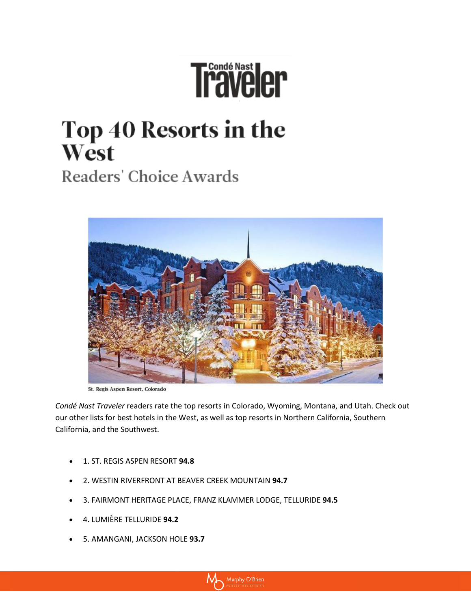## Traveler

## Top 40 Resorts in the West

Readers' Choice Awards



St. Regis Aspen Resort, Colorado

*Condé Nast Traveler* readers rate the top resorts in Colorado, Wyoming, Montana, and Utah. Check out our other lists for [best hotels in the West,](http://www.cntraveler.com/readers-choice-awards/united-states/best-hotels-west) as well as top resorts in [Northern California,](http://www.cntraveler.com/readers-choice-awards/united-states/best-resorts-northern-california) [Southern](http://www.cntraveler.com/readers-choice-awards/united-states/best-resorts-southern-california)  [California,](http://www.cntraveler.com/readers-choice-awards/united-states/best-resorts-southern-california) and th[e Southwest.](http://www.cntraveler.com/readers-choice-awards/united-states/best-resorts-southwest)

- 1. ST. REGIS ASPEN RESORT **94.8**
- 2. WESTIN RIVERFRONT AT BEAVER CREEK MOUNTAIN **94.7**
- 3. FAIRMONT HERITAGE PLACE, FRANZ KLAMMER LODGE, TELLURIDE **94.5**
- 4. LUMIÈRE TELLURIDE **94.2**
- 5. AMANGANI, JACKSON HOLE **93.7**

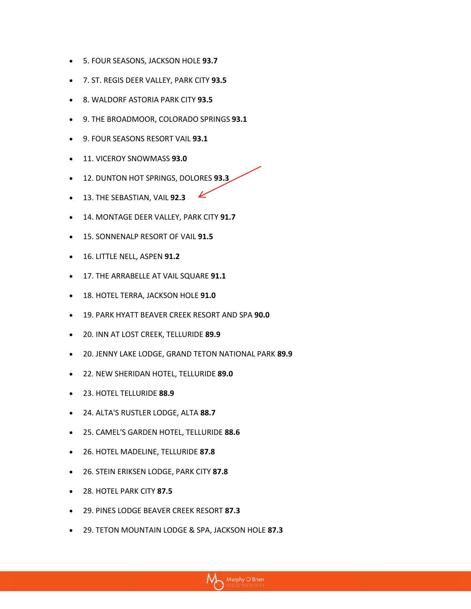- 5. FOUR SEASONS, JACKSON HOLE **93.7**
- 7. ST. REGIS DEER VALLEY, PARK CITY **93.5**
- 8. WALDORF ASTORIA PARK CITY **93.5**
- 9. THE BROADMOOR, COLORADO SPRINGS **93.1**
- 9. FOUR SEASONS RESORT VAIL **93.1**
- 11. VICEROY SNOWMASS **93.0**
- 12. DUNTON HOT SPRINGS, DOLORES **93.3**
- $\bullet$  13. THE SEBASTIAN, VAIL **92.3**
- 14. MONTAGE DEER VALLEY, PARK CITY **91.7**
- 15. SONNENALP RESORT OF VAIL **91.5**
- 16. LITTLE NELL, ASPEN **91.2**
- 17. THE ARRABELLE AT VAIL SQUARE **91.1**
- 18. HOTEL TERRA, JACKSON HOLE **91.0**
- 19. PARK HYATT BEAVER CREEK RESORT AND SPA **90.0**
- 20. INN AT LOST CREEK, TELLURIDE **89.9**
- 20. JENNY LAKE LODGE, GRAND TETON NATIONAL PARK **89.9**
- 22. NEW SHERIDAN HOTEL, TELLURIDE **89.0**
- 23. HOTEL TELLURIDE **88.9**
- 24. ALTA'S RUSTLER LODGE, ALTA **88.7**
- 25. CAMEL'S GARDEN HOTEL, TELLURIDE **88.6**
- 26. HOTEL MADELINE, TELLURIDE **87.8**
- 26. STEIN ERIKSEN LODGE, PARK CITY **87.8**
- 28. HOTEL PARK CITY **87.5**
- 29. PINES LODGE BEAVER CREEK RESORT **87.3**
- 29. TETON MOUNTAIN LODGE & SPA, JACKSON HOLE **87.3**